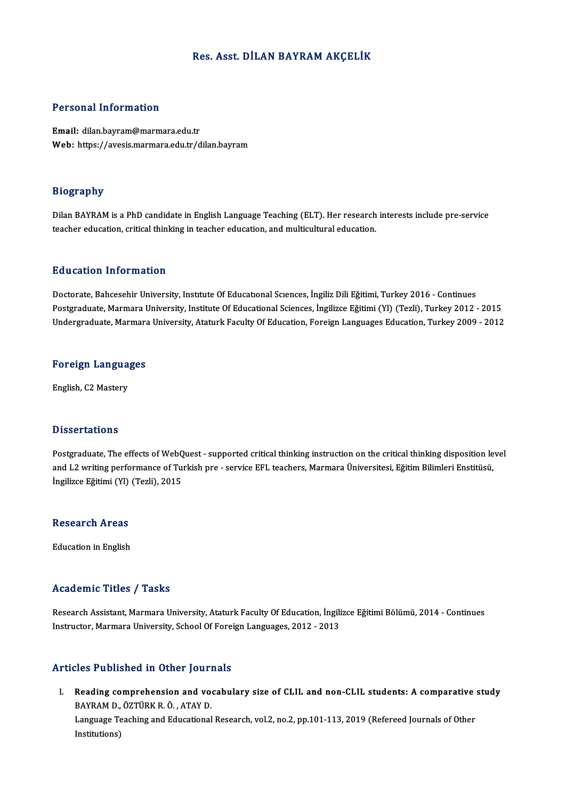#### Res. Asst. DİLAN BAYRAMAKÇELİK

#### Personal Information

Email: dilan.bayram@marmara.edu.tr Web: https://avesis.marmara.edu.tr/dilan.bayram

#### Biography

Biography<br>Dilan BAYRAM is a PhD candidate in English Language Teaching (ELT). Her research interests include pre-service<br>teacher education, critical thinking in teacher education, and multicultural education. teacy, appliedness<br>Dilan BAYRAM is a PhD candidate in English Language Teaching (ELT). Her research<br>teacher education, critical thinking in teacher education, and multicultural education. teacher education, critical thinking in teacher education, and multicultural education.<br>Education Information

Education Information<br>Doctorate, Bahcesehir University, Institute Of Educational Sciences, İngiliz Dili Eğitimi, Turkey 2016 - Continues<br>Postareduate Marmara University, Institute Of Educational Sciences, İngilizce Eğitimi Pu u cutron Tinton interon<br>Doctorate, Bahcesehir University, Institute Of Educational Sciences, İngiliz Dili Eğitimi, Turkey 2016 - Continues<br>Postgraduate, Marmara University, Institute Of Educational Sciences, İngilizce E Doctorate, Bahcesehir University, Institute Of Educational Sciences, İngiliz Dili Eğitimi, Turkey 2016 - Continues<br>Postgraduate, Marmara University, Institute Of Educational Sciences, İngilizce Eğitimi (Yl) (Tezli), Turkey

# <sub>Undergraduate, Marmara<br>Foreign Languages</sub> F<mark>oreign Langua</mark><br>English, C2 Mastery

English, C2 Mastery<br>Dissertations

**Dissertations**<br>Postgraduate, The effects of WebQuest - supported critical thinking instruction on the critical thinking disposition level<br>and L2 uniting performance of Turkish pro-service FEL teachers. Mermans Universites Basser carrens<br>Postgraduate, The effects of WebQuest - supported critical thinking instruction on the critical thinking disposition le<br>and L2 writing performance of Turkish pre - service EFL teachers, Marmara Üniversitesi, Postgraduate, The effects of WebQ<br>and L2 writing performance of Tu:<br>İngilizce Eğitimi (Yl) (Tezli), 2015 İngilizce Eğitimi (Yl) (Tezli), 2015<br>Research Areas

Education in English

#### Academic Titles / Tasks

Academic Titles / Tasks<br>Research Assistant, Marmara University, Ataturk Faculty Of Education, İngilizce Eğitimi Bölümü, 2014 - Continues<br>Instructor, Marmara University, School Of Fareign Languages, 2012, 2012 ITCUUCHILE TTERCE / TUDIE<br>Research Assistant, Marmara University, Ataturk Faculty Of Education, İngili<br>Instructor, Marmara University, School Of Foreign Languages, 2012 - 2013 Instructor, Marmara University, School Of Foreign Languages, 2012 - 2013<br>Articles Published in Other Journals

rticles Published in Other Journals<br>I. Reading comprehension and vocabulary size of CLIL and non-CLIL students: A comparative study<br>RAVRAM D. ÖZTÜRK R. Ö. ATAV D. Reading comprehension and vo<br>BAYRAM D., ÖZTÜRK R. Ö., ATAY D.<br>Language Teaching and Educational Reading comprehension and vocabulary size of CLIL and non-CLIL students: A comparative<br>BAYRAM D., ÖZTÜRK R. Ö. , ATAY D.<br>Language Teaching and Educational Research, vol.2, no.2, pp.101-113, 2019 (Refereed Journals of Other

BAYRAM D.,<br>Language Te<br>Institutions)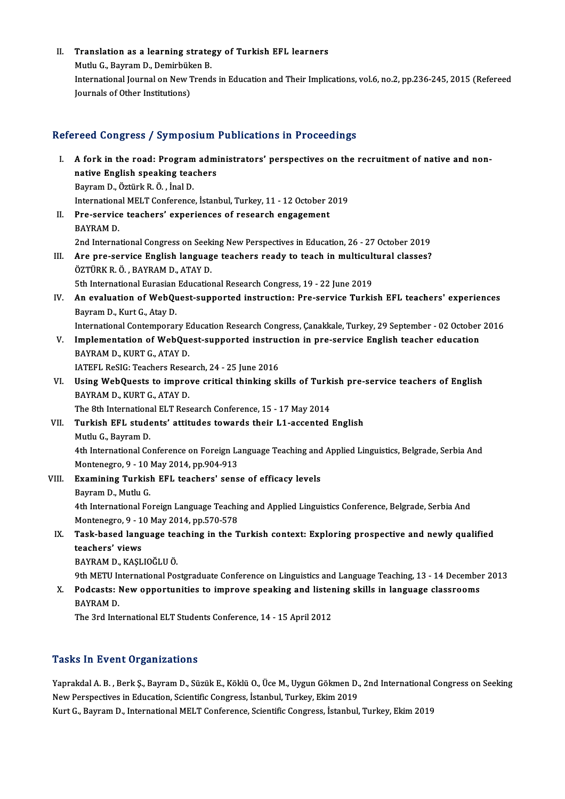II. Translation as a learning strategy of Turkish EFL learners<br>Muth: C. Bayram D. Damirbijkan B

Translation as a learning strate<br>Mutlu G., Bayram D., Demirbüken B.<br>International Journal on New Trand Mutlu G., Bayram D., Demirbüken B.<br>International Journal on New Trends in Education and Their Implications, vol.6, no.2, pp.236-245, 2015 (Refereed Journals of Other Institutions)

## Refereed Congress / Symposium Publications in Proceedings

efereed Congress / Symposium Publications in Proceedings<br>I. A fork in the road: Program administrators' perspectives on the recruitment of native and non-<br>native English speaking teachers native English speaking teachers<br>native English speaking teachers<br>Boyman D. Örtürk B. Ö., İngl D. A fork in the road: Program<br>native English speaking tead<br>Bayram D., Öztürk R. Ö. , İnal D.<br>International MELT Conference native English speaking teachers<br>Bayram D., Öztürk R. Ö. , İnal D.<br>International MELT Conference, İstanbul, Turkey, 11 - 12 October 2019<br>Pre servise teashers' evnerianeas of ressersh engasement Bayram D., Öztürk R. Ö., İnal D.<br>International MELT Conference, İstanbul, Turkey, 11 - 12 October 2<br>II. Pre-service teachers' experiences of research engagement<br>BAYRAM D. Internationa<br>Pre-service<br>BAYRAM D.<br>2nd Interna Pre-service teachers' experiences of research engagement<br>BAYRAM D.<br>2nd International Congress on Seeking New Perspectives in Education, 26 - 27 October 2019<br>Are nre service English language teachers ready to teach in multi

- III. Are pre-service English language teachers ready to teach in multicultural classes?<br>ÖZTÜRK R. Ö., BAYRAM D., ATAY D. 2nd International Congress on Seek<br>Are pre-service English languag<br>ÖZTÜRK R.Ö., BAYRAM D., ATAY D. Are pre-service English language teachers ready to teach in multicult<br>ÖZTÜRK R.Ö., BAYRAM D., ATAY D.<br>5th International Eurasian Educational Research Congress, 19 - 22 June 2019<br>An evaluation of WabOuest sunnanted instruct
- IV. An evaluation of WebQuest-supported instruction: Pre-service Turkish EFL teachers' experiences<br>Bayram D., Kurt G., Atay D. 5th International Eurasian<br>An evaluation of WebQu<br>Bayram D., Kurt G., Atay D.<br>International Contemporar An evaluation of WebQuest-supported instruction: Pre-service Turkish EFL teachers' experiences<br>Bayram D., Kurt G., Atay D.<br>International Contemporary Education Research Congress, Çanakkale, Turkey, 29 September - 02 Octobe

Bayram D., Kurt G., Atay D.<br>International Contemporary Education Research Congress, Çanakkale, Turkey, 29 September - 02 October<br>V. Implementation of WebQuest-supported instruction in pre-service English teacher education<br> International Contemporary E<br>Implementation of WebQue<br>BAYRAM D., KURT G., ATAY D.<br>JATEEL BASIC: Toasbors Bosse Implementation of WebQuest-supported instruce<br>BAYRAM D., KURT G., ATAY D.<br>IATEFL ReSIG: Teachers Research, 24 - 25 June 2016<br>Heing WebQuests to improve eritical thinking al

BAYRAM D., KURT G., ATAY D.<br>IATEFL ReSIG: Teachers Research, 24 - 25 June 2016<br>VI. Using WebQuests to improve critical thinking skills of Turkish pre-service teachers of English<br>RAYRAM D. KURT C. ATAY D. IATEFL ReSIG: Teachers Research, 24 - 25 June 2016<br>Using WebQuests to improve critical thinking s<br>BAYRAM D., KURT G., ATAY D. Using WebQuests to improve critical thinking skills of Turki<br>BAYRAM D., KURT G., ATAY D.<br>The 8th International ELT Research Conference, 15 - 17 May 2014<br>Turkish EEL students' ettitudes towards their L1 assented.

The 8th International ELT Research Conference, 15 - 17 May 2014

VII. Turkish EFL students' attitudes towards their L1-accented English<br>Mutlu G. Bavram D. Turkish EFL students' attitudes towards their L1-accented English<br>Mutlu G., Bayram D.<br>4th International Conference on Foreign Language Teaching and Applied Linguistics, Belgrade, Serbia And<br>Montenegre 0, 10 Mey 2014, np 90 Mutlu G., Bayram D.<br>4th International Conference on Foreign La<br>Montenegro, 9 - 10 May 2014, pp.904-913<br>Evemining Turkieb EEL teachers' sens

4th International Conference on Foreign Language Teaching and<br>Montenegro, 9 - 10 May 2014, pp.904-913<br>VIII. Examining Turkish EFL teachers' sense of efficacy levels<br>Payman D. Muthy C Montenegro, 9 - 10 May 2014, pp.904-913<br>VIII. Examining Turkish EFL teachers' sense of efficacy levels<br>Bayram D., Mutlu G. Examining Turkish EFL teachers' sense of efficacy levels<br>Bayram D., Mutlu G.<br>4th International Foreign Language Teaching and Applied Linguistics Conference, Belgrade, Serbia And<br>Montenegre 0, 10 May 2014, pp.570,579 Bayram D., Mutlu G.<br>4th International Foreign Language Teachii<br>Montenegro, 9 - 10 May 2014, pp.570-578<br>Teak based Janguage teaching in the T 4th International Foreign Language Teaching and Applied Linguistics Conference, Belgrade, Serbia And<br>Montenegro, 9 - 10 May 2014, pp.570-578<br>IX. Task-based language teaching in the Turkish context: Exploring prospective an

## Montenegro, 9 - 1<br>Task-based lang<br>teachers' views<br>PAVPAM D. KASI Task-based language te<mark>z</mark><br>teachers' views<br>BAYRAM D., KAŞLIOĞLU Ö.<br><sup>0th METU International Bes</sup> teachers' views<br>BAYRAM D., KAŞLIOĞLU Ö.<br>9th METU International Postgraduate Conference on Linguistics and Language Teaching, 13 - 14 December 2013<br>Podsasts: Naw appertunities to improve speaking and listening skills in lan

BAYRAM D., KAŞLIOĞLU Ö.<br>9th METU International Postgraduate Conference on Linguistics and Language Teaching, 13 - 14 Decembe<br>8. Podcasts: New opportunities to improve speaking and listening skills in language classrooms<br>8. 9th METU I<mark>r</mark><br>Podcasts: 1<br>BAYRAM D.<br>The 2rd Inte X. Podcasts: New opportunities to improve speaking and listening skills in language classrooms<br>BAYRAM D.<br>The 3rd International ELT Students Conference, 14 - 15 April 2012

## **Tasks In Event Organizations**

Tasks In Event Organizations<br>Yaprakdal A. B. , Berk Ş., Bayram D., Süzük E., Köklü O., Üce M., Uygun Gökmen D., 2nd International Congress on Seeking<br>Nav Rarapestives in Education, Scientific Congress, İstanbul, Turkey, Ek New York Organization,<br>New Perspectives in Education, Scientific Congress, İstanbul, Turkey, Ekim 2019<br>New Perspectives in Education, Scientific Congress, İstanbul, Turkey, Ekim 2019<br>Kurt G. Bayram D. International MELT Co New Perspectives in Education, Scientific Congress, İstanbul, Turkey, Ekim 2019<br>Kurt G., Bayram D., International MELT Conference, Scientific Congress, İstanbul, Turkey, Ekim 2019